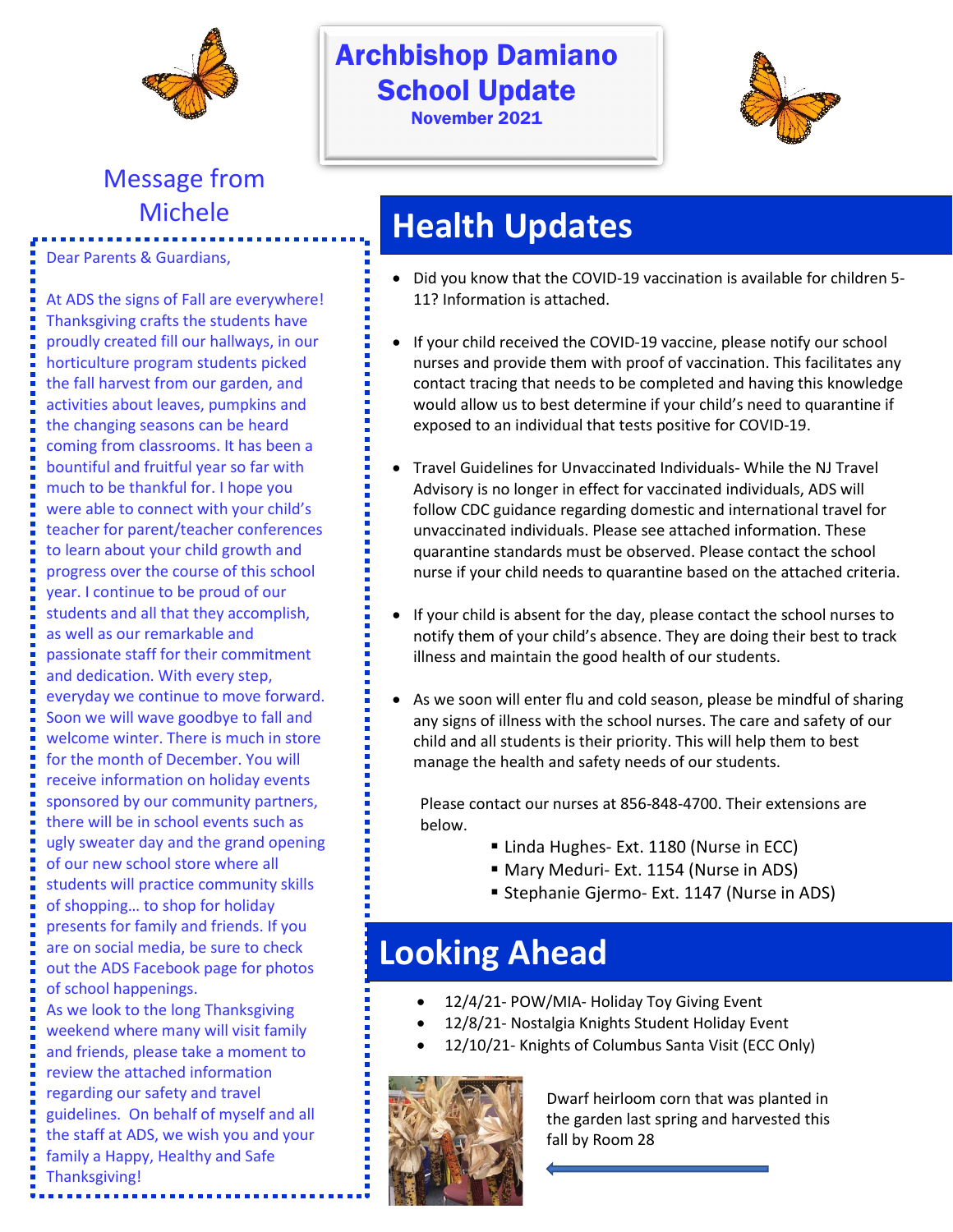

# Message from

Dear Parents & Guardians,

At ADS the signs of Fall are everywhere! Thanksgiving crafts the students have proudly created fill our hallways, in our horticulture program students picked the fall harvest from our garden, and activities about leaves, pumpkins and the changing seasons can be heard coming from classrooms. It has been a bountiful and fruitful year so far with much to be thankful for. I hope you were able to connect with your child's teacher for parent/teacher conferences to learn about your child growth and progress over the course of this school year. I continue to be proud of our students and all that they accomplish, as well as our remarkable and passionate staff for their commitment and dedication. With every step, everyday we continue to move forward. Soon we will wave goodbye to fall and welcome winter. There is much in store for the month of December. You will receive information on holiday events sponsored by our community partners, there will be in school events such as ugly sweater day and the grand opening of our new school store where all students will practice community skills of shopping… to shop for holiday presents for family and friends. If you are on social media, be sure to check out the ADS Facebook page for photos of school happenings. As we look to the long Thanksgiving

weekend where many will visit family and friends, please take a moment to review the attached information regarding our safety and travel guidelines. On behalf of myself and all the staff at ADS, we wish you and your family a Happy, Healthy and Safe Thanksgiving!

#### Archbishop Damiano **School Update** November 2021



## Michele **Michele Health Updates**

- Did you know that the COVID-19 vaccination is available for children 5- 11? Information is attached.
- If your child received the COVID-19 vaccine, please notify our school nurses and provide them with proof of vaccination. This facilitates any contact tracing that needs to be completed and having this knowledge would allow us to best determine if your child's need to quarantine if exposed to an individual that tests positive for COVID-19.
- Travel Guidelines for Unvaccinated Individuals- While the NJ Travel Advisory is no longer in effect for vaccinated individuals, ADS will follow CDC guidance regarding domestic and international travel for unvaccinated individuals. Please see attached information. These quarantine standards must be observed. Please contact the school nurse if your child needs to quarantine based on the attached criteria.
- If your child is absent for the day, please contact the school nurses to notify them of your child's absence. They are doing their best to track illness and maintain the good health of our students.
- As we soon will enter flu and cold season, please be mindful of sharing any signs of illness with the school nurses. The care and safety of our child and all students is their priority. This will help them to best manage the health and safety needs of our students.

Please contact our nurses at 856-848-4700. Their extensions are below.

- Linda Hughes- Ext. 1180 (Nurse in ECC)
- Mary Meduri- Ext. 1154 (Nurse in ADS)
- **Stephanie Gjermo- Ext. 1147 (Nurse in ADS)**

## **Looking Ahead**

- 12/4/21- POW/MIA- Holiday Toy Giving Event
- 12/8/21- Nostalgia Knights Student Holiday Event
- 12/10/21- Knights of Columbus Santa Visit (ECC Only)



Dwarf heirloom corn that was planted in the garden last spring and harvested this fall by Room 28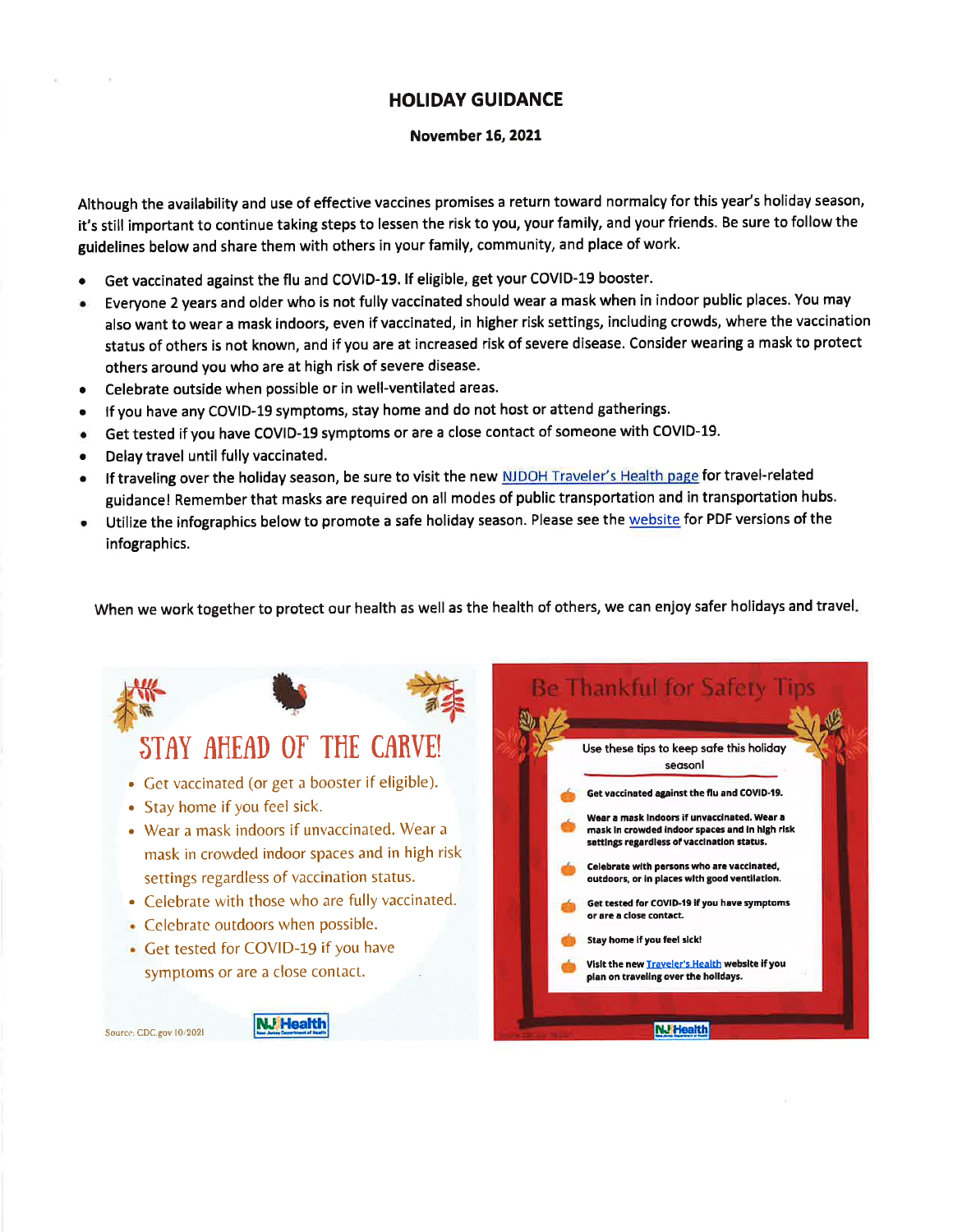#### **HOLIDAY GUIDANCE**

#### **November 16, 2021**

Although the availability and use of effective vaccines promises a return toward normalcy for this year's holiday season, it's still important to continue taking steps to lessen the risk to you, your family, and your friends. Be sure to follow the guidelines below and share them with others in your family, community, and place of work.

- Get vaccinated against the flu and COVID-19. If eligible, get your COVID-19 booster.
- Everyone 2 years and older who is not fully vaccinated should wear a mask when in indoor public places. You may also want to wear a mask indoors, even if vaccinated, in higher risk settings, including crowds, where the vaccination status of others is not known, and if you are at increased risk of severe disease. Consider wearing a mask to protect others around you who are at high risk of severe disease.
- Celebrate outside when possible or in well-ventilated areas.
- If you have any COVID-19 symptoms, stay home and do not host or attend gatherings.
- Get tested if you have COVID-19 symptoms or are a close contact of someone with COVID-19.
- Delay travel until fully vaccinated.
- If traveling over the holiday season, be sure to visit the new NJDOH Traveler's Health page for travel-related guidance! Remember that masks are required on all modes of public transportation and in transportation hubs.
- Utilize the infographics below to promote a safe holiday season. Please see the website for PDF versions of the infographics.

When we work together to protect our health as well as the health of others, we can enjoy safer holidays and travel.

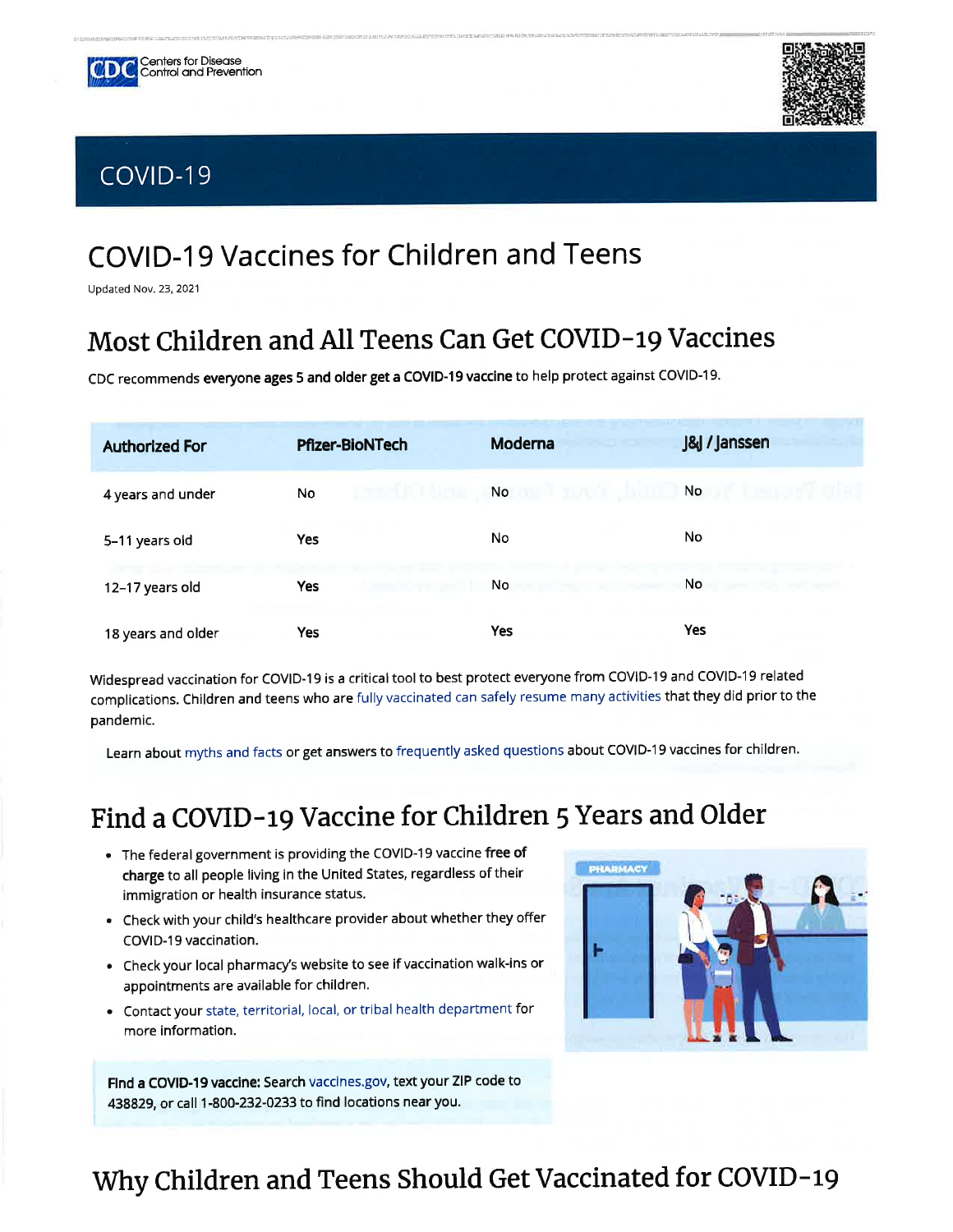





## **COVID-19 Vaccines for Children and Teens**

Updated Nov. 23, 2021

#### Most Children and All Teens Can Get COVID-19 Vaccines

CDC recommends everyone ages 5 and older get a COVID-19 vaccine to help protect against COVID-19.

| <b>Authorized For</b> | <b>Pfizer-BioNTech</b> | Moderna | <b>J&amp;J</b> / Janssen |
|-----------------------|------------------------|---------|--------------------------|
| 4 years and under     | No                     | No      | No                       |
| 5-11 years old        | <b>Yes</b>             | No      | No.                      |
| 12-17 years old       | <b>Yes</b>             | No      | No                       |
| 18 years and older    | <b>Yes</b>             | Yes     | <b>Yes</b>               |

Widespread vaccination for COVID-19 is a critical tool to best protect everyone from COVID-19 and COVID-19 related complications. Children and teens who are fully vaccinated can safely resume many activities that they did prior to the pandemic.

Learn about myths and facts or get answers to frequently asked questions about COVID-19 vaccines for children.

#### Find a COVID-19 Vaccine for Children 5 Years and Older

- The federal government is providing the COVID-19 vaccine free of charge to all people living in the United States, regardless of their immigration or health insurance status.
- Check with your child's healthcare provider about whether they offer COVID-19 vaccination.
- Check your local pharmacy's website to see if vaccination walk-ins or appointments are available for children.
- Contact your state, territorial, local, or tribal health department for more information.

Find a COVID-19 vaccine: Search vaccines.gov, text your ZIP code to 438829, or call 1-800-232-0233 to find locations near you.



#### Why Children and Teens Should Get Vaccinated for COVID-19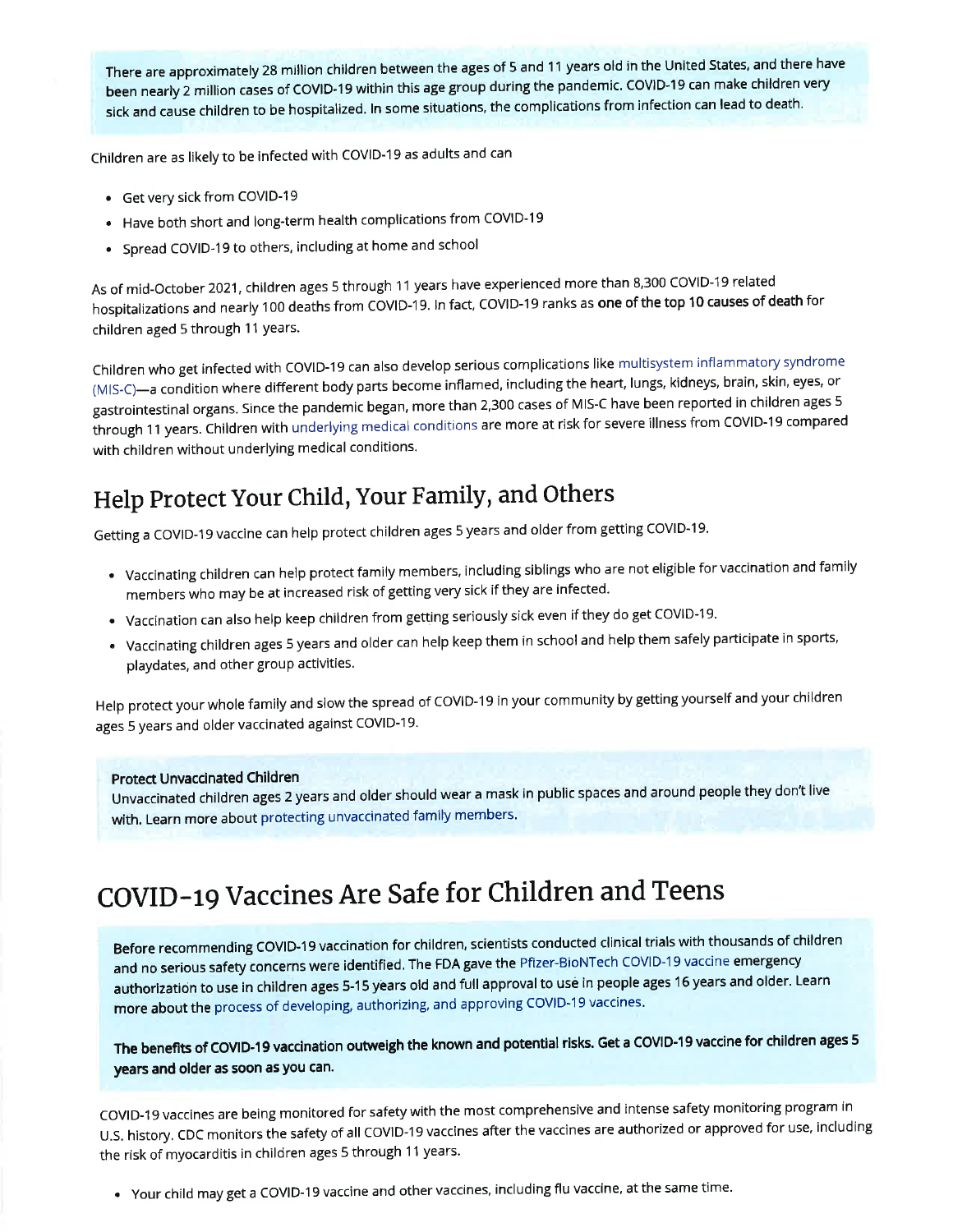There are approximately 28 million children between the ages of 5 and 11 years old in the United States, and there have been nearly 2 million cases of COVID-19 within this age group during the pandemic. COVID-19 can make children very sick and cause children to be hospitalized. In some situations, the complications from infection can lead to death.

Children are as likely to be infected with COVID-19 as adults and can

- Get very sick from COVID-19
- Have both short and long-term health complications from COVID-19
- Spread COVID-19 to others, including at home and school

As of mid-October 2021, children ages 5 through 11 years have experienced more than 8,300 COVID-19 related hospitalizations and nearly 100 deaths from COVID-19. In fact, COVID-19 ranks as one of the top 10 causes of death for children aged 5 through 11 years.

Children who get infected with COVID-19 can also develop serious complications like multisystem inflammatory syndrome (MIS-C)—a condition where different body parts become inflamed, including the heart, lungs, kidneys, brain, skin, eyes, or gastrointestinal organs. Since the pandemic began, more than 2,300 cases of MIS-C have been reported in children ages 5 through 11 years. Children with underlying medical conditions are more at risk for severe illness from COVID-19 compared with children without underlying medical conditions.

#### Help Protect Your Child, Your Family, and Others

Getting a COVID-19 vaccine can help protect children ages 5 years and older from getting COVID-19.

- · Vaccinating children can help protect family members, including siblings who are not eligible for vaccination and family members who may be at increased risk of getting very sick if they are infected.
- . Vaccination can also help keep children from getting seriously sick even if they do get COVID-19.
- Vaccinating children ages 5 years and older can help keep them in school and help them safely participate in sports, playdates, and other group activities.

Help protect your whole family and slow the spread of COVID-19 in your community by getting yourself and your children ages 5 years and older vaccinated against COVID-19.

#### **Protect Unvaccinated Children**

Unvaccinated children ages 2 years and older should wear a mask in public spaces and around people they don't live with. Learn more about protecting unvaccinated family members.

## COVID-19 Vaccines Are Safe for Children and Teens

Before recommending COVID-19 vaccination for children, scientists conducted clinical trials with thousands of children and no serious safety concerns were identified. The FDA gave the Pfizer-BioNTech COVID-19 vaccine emergency authorization to use in children ages 5-15 years old and full approval to use in people ages 16 years and older. Learn more about the process of developing, authorizing, and approving COVID-19 vaccines.

The benefits of COVID-19 vaccination outweigh the known and potential risks. Get a COVID-19 vaccine for children ages 5 years and older as soon as you can.

COVID-19 vaccines are being monitored for safety with the most comprehensive and intense safety monitoring program in U.S. history. CDC monitors the safety of all COVID-19 vaccines after the vaccines are authorized or approved for use, including the risk of myocarditis in children ages 5 through 11 years.

. Your child may get a COVID-19 vaccine and other vaccines, including flu vaccine, at the same time.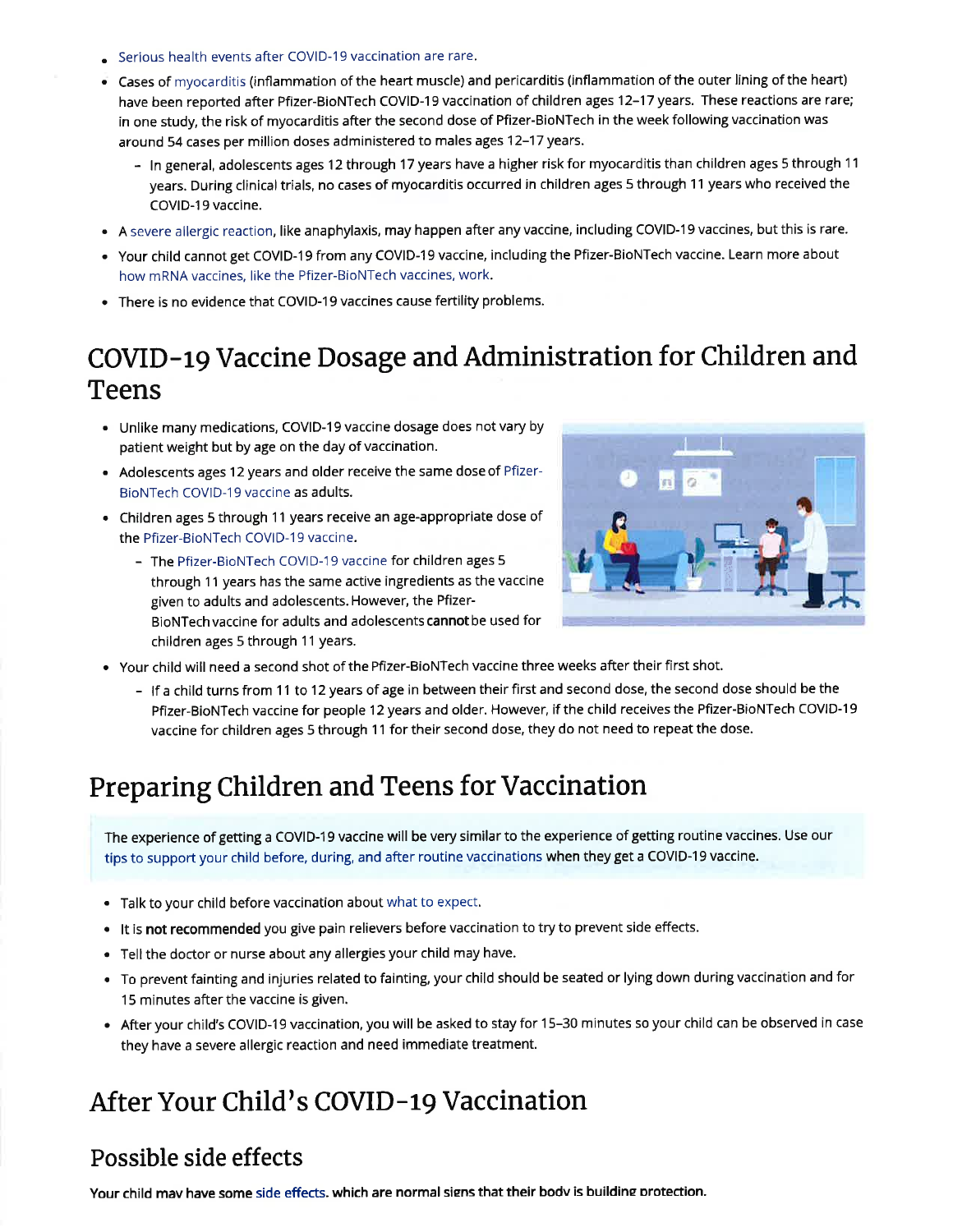- Serious health events after COVID-19 vaccination are rare.
- Cases of myocarditis (inflammation of the heart muscle) and pericarditis (inflammation of the outer lining of the heart) have been reported after Pfizer-BioNTech COVID-19 vaccination of children ages 12-17 years. These reactions are rare; in one study, the risk of myocarditis after the second dose of Pfizer-BioNTech in the week following vaccination was around 54 cases per million doses administered to males ages 12-17 years.
	- In general, adolescents ages 12 through 17 years have a higher risk for myocarditis than children ages 5 through 11 years. During clinical trials, no cases of myocarditis occurred in children ages 5 through 11 years who received the COVID-19 vaccine.
- . A severe allergic reaction, like anaphylaxis, may happen after any vaccine, including COVID-19 vaccines, but this is rare.
- Your child cannot get COVID-19 from any COVID-19 vaccine, including the Pfizer-BioNTech vaccine. Learn more about how mRNA vaccines, like the Pfizer-BioNTech vaccines, work.
- There is no evidence that COVID-19 vaccines cause fertility problems.

#### COVID-19 Vaccine Dosage and Administration for Children and Teens

- . Unlike many medications, COVID-19 vaccine dosage does not vary by patient weight but by age on the day of vaccination.
- Adolescents ages 12 years and older receive the same dose of Pfizer-BioNTech COVID-19 vaccine as adults.
- Children ages 5 through 11 years receive an age-appropriate dose of the Pfizer-BioNTech COVID-19 vaccine.
	- The Pfizer-BioNTech COVID-19 vaccine for children ages 5 through 11 years has the same active ingredients as the vaccine given to adults and adolescents. However, the Pfizer-BioNTech vaccine for adults and adolescents cannot be used for children ages 5 through 11 years.



- . Your child will need a second shot of the Pfizer-BioNTech vaccine three weeks after their first shot.
	- If a child turns from 11 to 12 years of age in between their first and second dose, the second dose should be the Pfizer-BioNTech vaccine for people 12 years and older. However, if the child receives the Pfizer-BioNTech COVID-19 vaccine for children ages 5 through 11 for their second dose, they do not need to repeat the dose.

#### Preparing Children and Teens for Vaccination

The experience of getting a COVID-19 vaccine will be very similar to the experience of getting routine vaccines. Use our tips to support your child before, during, and after routine vaccinations when they get a COVID-19 vaccine.

- Talk to your child before vaccination about what to expect.
- . It is not recommended you give pain relievers before vaccination to try to prevent side effects.
- . Tell the doctor or nurse about any allergies your child may have.
- . To prevent fainting and injuries related to fainting, your child should be seated or lying down during vaccination and for 15 minutes after the vaccine is given.
- . After your child's COVID-19 vaccination, you will be asked to stay for 15-30 minutes so your child can be observed in case they have a severe allergic reaction and need immediate treatment.

## After Your Child's COVID-19 Vaccination

#### Possible side effects

Your child may have some side effects. which are normal signs that their body is building protection.